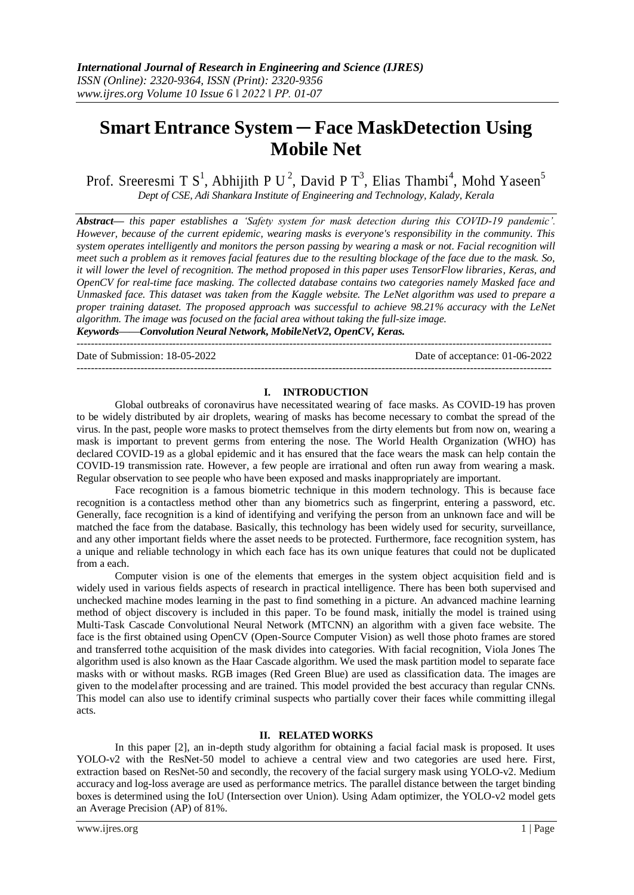# **Smart Entrance System ─ Face MaskDetection Using Mobile Net**

Prof. Sreeresmi T  $S^1$ , Abhijith P U<sup>2</sup>, David P T<sup>3</sup>, Elias Thambi<sup>4</sup>, Mohd Yaseen<sup>5</sup> *Dept of CSE, Adi Shankara Institute of Engineering and Technology, Kalady, Kerala*

*Abstract— this paper establishes a 'Safety system for mask detection during this COVID-19 pandemic'. However, because of the current epidemic, wearing masks is everyone's responsibility in the community. This system operates intelligently and monitors the person passing by wearing a mask or not. Facial recognition will meet such a problem as it removes facial features due to the resulting blockage of the face due to the mask. So, it will lower the level of recognition. The method proposed in this paper uses TensorFlow libraries, Keras, and OpenCV for real-time face masking. The collected database contains two categories namely Masked face and Unmasked face. This dataset was taken from the Kaggle website. The LeNet algorithm was used to prepare a proper training dataset. The proposed approach was successful to achieve 98.21% accuracy with the LeNet algorithm. The image was focused on the facial area without taking the full-size image.*

*Keywords——Convolution Neural Network, MobileNetV2, OpenCV, Keras.* --------------------------------------------------------------------------------------------------------------------------------------

Date of Submission: 18-05-2022 Date of acceptance: 01-06-2022

## **I. INTRODUCTION**

--------------------------------------------------------------------------------------------------------------------------------------

Global outbreaks of coronavirus have necessitated wearing of face masks. As COVID-19 has proven to be widely distributed by air droplets, wearing of masks has become necessary to combat the spread of the virus. In the past, people wore masks to protect themselves from the dirty elements but from now on, wearing a mask is important to prevent germs from entering the nose. The World Health Organization (WHO) has declared COVID-19 as a global epidemic and it has ensured that the face wears the mask can help contain the COVID-19 transmission rate. However, a few people are irrational and often run away from wearing a mask. Regular observation to see people who have been exposed and masks inappropriately are important.

Face recognition is a famous biometric technique in this modern technology. This is because face recognition is a contactless method other than any biometrics such as fingerprint, entering a password, etc. Generally, face recognition is a kind of identifying and verifying the person from an unknown face and will be matched the face from the database. Basically, this technology has been widely used for security, surveillance, and any other important fields where the asset needs to be protected. Furthermore, face recognition system, has a unique and reliable technology in which each face has its own unique features that could not be duplicated from a each.

Computer vision is one of the elements that emerges in the system object acquisition field and is widely used in various fields aspects of research in practical intelligence. There has been both supervised and unchecked machine modes learning in the past to find something in a picture. An advanced machine learning method of object discovery is included in this paper. To be found mask, initially the model is trained using Multi-Task Cascade Convolutional Neural Network (MTCNN) an algorithm with a given face website. The face is the first obtained using OpenCV (Open-Source Computer Vision) as well those photo frames are stored and transferred tothe acquisition of the mask divides into categories. With facial recognition, Viola Jones The algorithm used is also known as the Haar Cascade algorithm. We used the mask partition model to separate face masks with or without masks. RGB images (Red Green Blue) are used as classification data. The images are given to the modelafter processing and are trained. This model provided the best accuracy than regular CNNs. This model can also use to identify criminal suspects who partially cover their faces while committing illegal acts.

# **II. RELATED WORKS**

In this paper [2], an in-depth study algorithm for obtaining a facial facial mask is proposed. It uses YOLO-v2 with the ResNet-50 model to achieve a central view and two categories are used here. First, extraction based on ResNet-50 and secondly, the recovery of the facial surgery mask using YOLO-v2. Medium accuracy and log-loss average are used as performance metrics. The parallel distance between the target binding boxes is determined using the IoU (Intersection over Union). Using Adam optimizer, the YOLO-v2 model gets an Average Precision (AP) of 81%.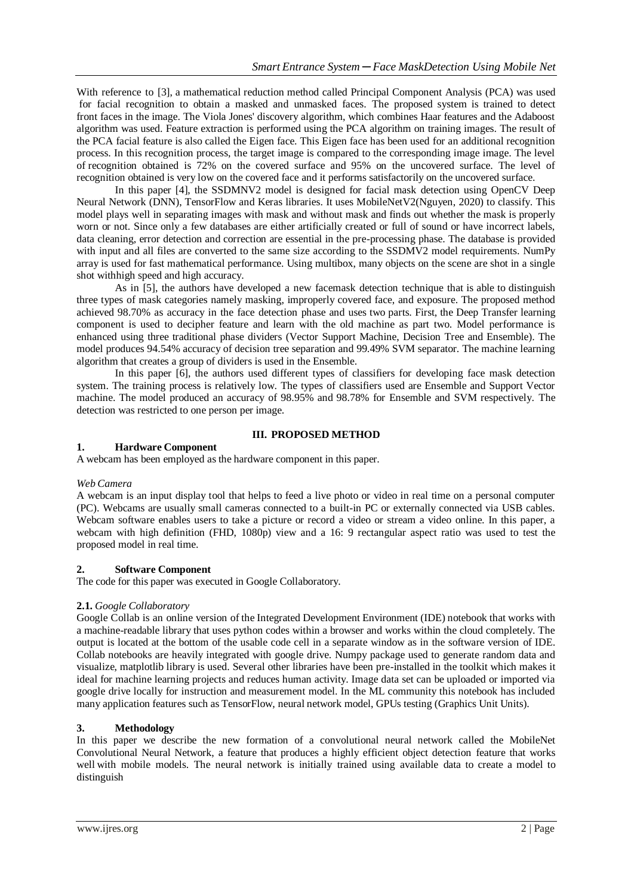With reference to [3], a mathematical reduction method called Principal Component Analysis (PCA) was used for facial recognition to obtain a masked and unmasked faces. The proposed system is trained to detect front faces in the image. The Viola Jones' discovery algorithm, which combines Haar features and the Adaboost algorithm was used. Feature extraction is performed using the PCA algorithm on training images. The result of the PCA facial feature is also called the Eigen face. This Eigen face has been used for an additional recognition process. In this recognition process, the target image is compared to the corresponding image image. The level of recognition obtained is 72% on the covered surface and 95% on the uncovered surface. The level of recognition obtained is very low on the covered face and it performs satisfactorily on the uncovered surface.

In this paper [4], the SSDMNV2 model is designed for facial mask detection using OpenCV Deep Neural Network (DNN), TensorFlow and Keras libraries. It uses MobileNetV2(Nguyen, 2020) to classify. This model plays well in separating images with mask and without mask and finds out whether the mask is properly worn or not. Since only a few databases are either artificially created or full of sound or have incorrect labels, data cleaning, error detection and correction are essential in the pre-processing phase. The database is provided with input and all files are converted to the same size according to the SSDMV2 model requirements. NumPy array is used for fast mathematical performance. Using multibox, many objects on the scene are shot in a single shot withhigh speed and high accuracy.

As in [5], the authors have developed a new facemask detection technique that is able to distinguish three types of mask categories namely masking, improperly covered face, and exposure. The proposed method achieved 98.70% as accuracy in the face detection phase and uses two parts. First, the Deep Transfer learning component is used to decipher feature and learn with the old machine as part two. Model performance is enhanced using three traditional phase dividers (Vector Support Machine, Decision Tree and Ensemble). The model produces 94.54% accuracy of decision tree separation and 99.49% SVM separator. The machine learning algorithm that creates a group of dividers is used in the Ensemble.

In this paper [6], the authors used different types of classifiers for developing face mask detection system. The training process is relatively low. The types of classifiers used are Ensemble and Support Vector machine. The model produced an accuracy of 98.95% and 98.78% for Ensemble and SVM respectively. The detection was restricted to one person per image.

## **III. PROPOSED METHOD**

# **1. Hardware Component**

A webcam has been employed as the hardware component in this paper.

#### *Web Camera*

A webcam is an input display tool that helps to feed a live photo or video in real time on a personal computer (PC). Webcams are usually small cameras connected to a built-in PC or externally connected via USB cables. Webcam software enables users to take a picture or record a video or stream a video online. In this paper, a webcam with high definition (FHD, 1080p) view and a 16: 9 rectangular aspect ratio was used to test the proposed model in real time.

# **2. Software Component**

The code for this paper was executed in Google Collaboratory.

#### **2.1.** *Google Collaboratory*

Google Collab is an online version of the Integrated Development Environment (IDE) notebook that works with a machine-readable library that uses python codes within a browser and works within the cloud completely. The output is located at the bottom of the usable code cell in a separate window as in the software version of IDE. Collab notebooks are heavily integrated with google drive. Numpy package used to generate random data and visualize, matplotlib library is used. Several other libraries have been pre-installed in the toolkit which makes it ideal for machine learning projects and reduces human activity. Image data set can be uploaded or imported via google drive locally for instruction and measurement model. In the ML community this notebook has included many application features such as TensorFlow, neural network model, GPUs testing (Graphics Unit Units).

#### **3. Methodology**

In this paper we describe the new formation of a convolutional neural network called the MobileNet Convolutional Neural Network, a feature that produces a highly efficient object detection feature that works well with mobile models. The neural network is initially trained using available data to create a model to distinguish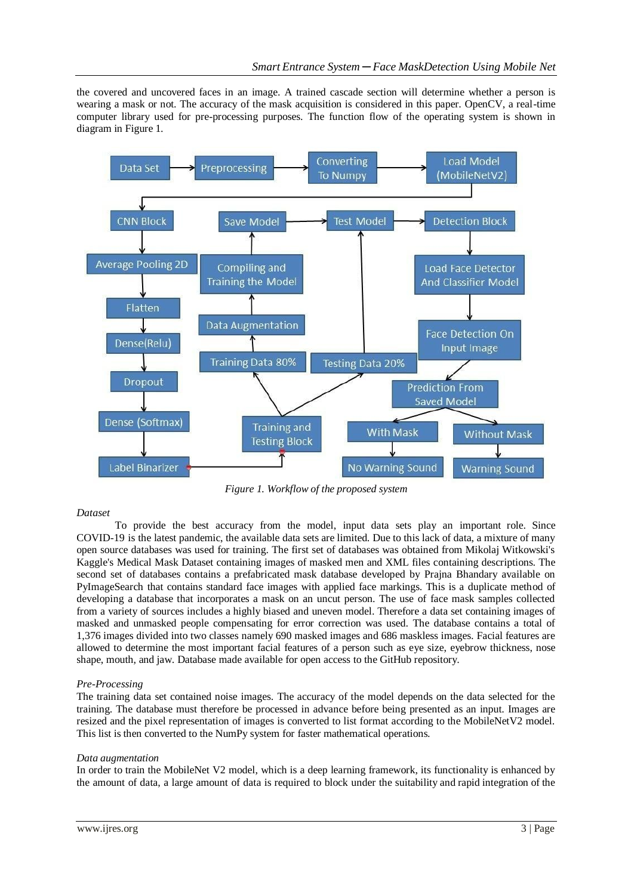the covered and uncovered faces in an image. A trained cascade section will determine whether a person is wearing a mask or not. The accuracy of the mask acquisition is considered in this paper. OpenCV, a real-time computer library used for pre-processing purposes. The function flow of the operating system is shown in diagram in Figure 1.



*Figure 1. Workflow of the proposed system*

# *Dataset*

To provide the best accuracy from the model, input data sets play an important role. Since COVID-19 is the latest pandemic, the available data sets are limited. Due to this lack of data, a mixture of many open source databases was used for training. The first set of databases was obtained from Mikolaj Witkowski's Kaggle's Medical Mask Dataset containing images of masked men and XML files containing descriptions. The second set of databases contains a prefabricated mask database developed by Prajna Bhandary available on PyImageSearch that contains standard face images with applied face markings. This is a duplicate method of developing a database that incorporates a mask on an uncut person. The use of face mask samples collected from a variety of sources includes a highly biased and uneven model. Therefore a data set containing images of masked and unmasked people compensating for error correction was used. The database contains a total of 1,376 images divided into two classes namely 690 masked images and 686 maskless images. Facial features are allowed to determine the most important facial features of a person such as eye size, eyebrow thickness, nose shape, mouth, and jaw. Database made available for open access to the GitHub repository.

# *Pre-Processing*

The training data set contained noise images. The accuracy of the model depends on the data selected for the training. The database must therefore be processed in advance before being presented as an input. Images are resized and the pixel representation of images is converted to list format according to the MobileNetV2 model. This list is then converted to the NumPy system for faster mathematical operations.

# *Data augmentation*

In order to train the MobileNet V2 model, which is a deep learning framework, its functionality is enhanced by the amount of data, a large amount of data is required to block under the suitability and rapid integration of the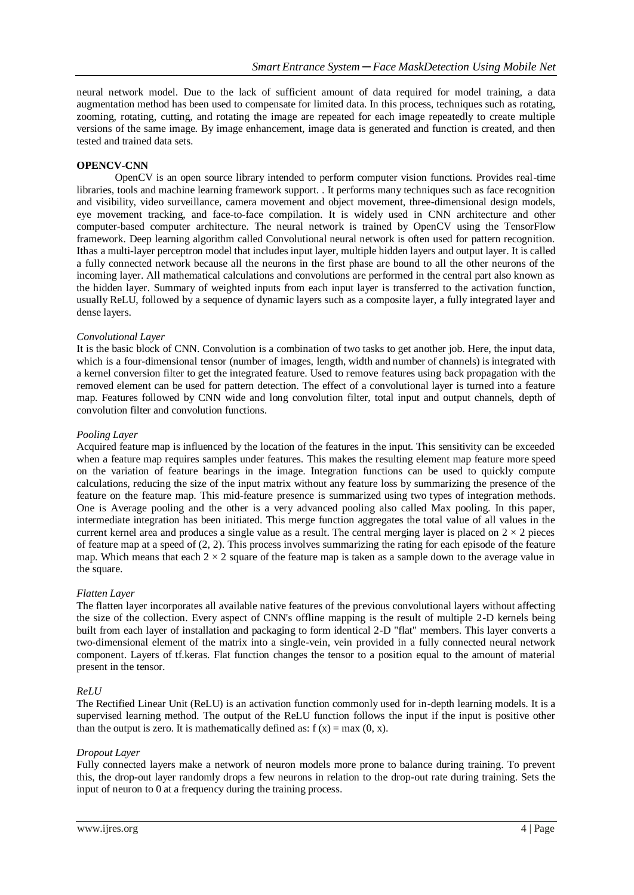neural network model. Due to the lack of sufficient amount of data required for model training, a data augmentation method has been used to compensate for limited data. In this process, techniques such as rotating, zooming, rotating, cutting, and rotating the image are repeated for each image repeatedly to create multiple versions of the same image. By image enhancement, image data is generated and function is created, and then tested and trained data sets.

# **OPENCV-CNN**

OpenCV is an open source library intended to perform computer vision functions. Provides real-time libraries, tools and machine learning framework support. . It performs many techniques such as face recognition and visibility, video surveillance, camera movement and object movement, three-dimensional design models, eye movement tracking, and face-to-face compilation. It is widely used in CNN architecture and other computer-based computer architecture. The neural network is trained by OpenCV using the TensorFlow framework. Deep learning algorithm called Convolutional neural network is often used for pattern recognition. Ithas a multi-layer perceptron model that includes input layer, multiple hidden layers and output layer. It is called a fully connected network because all the neurons in the first phase are bound to all the other neurons of the incoming layer. All mathematical calculations and convolutions are performed in the central part also known as the hidden layer. Summary of weighted inputs from each input layer is transferred to the activation function, usually ReLU, followed by a sequence of dynamic layers such as a composite layer, a fully integrated layer and dense layers.

## *Convolutional Layer*

It is the basic block of CNN. Convolution is a combination of two tasks to get another job. Here, the input data, which is a four-dimensional tensor (number of images, length, width and number of channels) is integrated with a kernel conversion filter to get the integrated feature. Used to remove features using back propagation with the removed element can be used for pattern detection. The effect of a convolutional layer is turned into a feature map. Features followed by CNN wide and long convolution filter, total input and output channels, depth of convolution filter and convolution functions.

## *Pooling Layer*

Acquired feature map is influenced by the location of the features in the input. This sensitivity can be exceeded when a feature map requires samples under features. This makes the resulting element map feature more speed on the variation of feature bearings in the image. Integration functions can be used to quickly compute calculations, reducing the size of the input matrix without any feature loss by summarizing the presence of the feature on the feature map. This mid-feature presence is summarized using two types of integration methods. One is Average pooling and the other is a very advanced pooling also called Max pooling. In this paper, intermediate integration has been initiated. This merge function aggregates the total value of all values in the current kernel area and produces a single value as a result. The central merging layer is placed on  $2 \times 2$  pieces of feature map at a speed of (2, 2). This process involves summarizing the rating for each episode of the feature map. Which means that each  $2 \times 2$  square of the feature map is taken as a sample down to the average value in the square.

# *Flatten Layer*

The flatten layer incorporates all available native features of the previous convolutional layers without affecting the size of the collection. Every aspect of CNN's offline mapping is the result of multiple 2-D kernels being built from each layer of installation and packaging to form identical 2-D "flat" members. This layer converts a two-dimensional element of the matrix into a single-vein, vein provided in a fully connected neural network component. Layers of tf.keras. Flat function changes the tensor to a position equal to the amount of material present in the tensor.

# *ReLU*

The Rectified Linear Unit (ReLU) is an activation function commonly used for in-depth learning models. It is a supervised learning method. The output of the ReLU function follows the input if the input is positive other than the output is zero. It is mathematically defined as:  $f(x) = max(0, x)$ .

# *Dropout Layer*

Fully connected layers make a network of neuron models more prone to balance during training. To prevent this, the drop-out layer randomly drops a few neurons in relation to the drop-out rate during training. Sets the input of neuron to 0 at a frequency during the training process.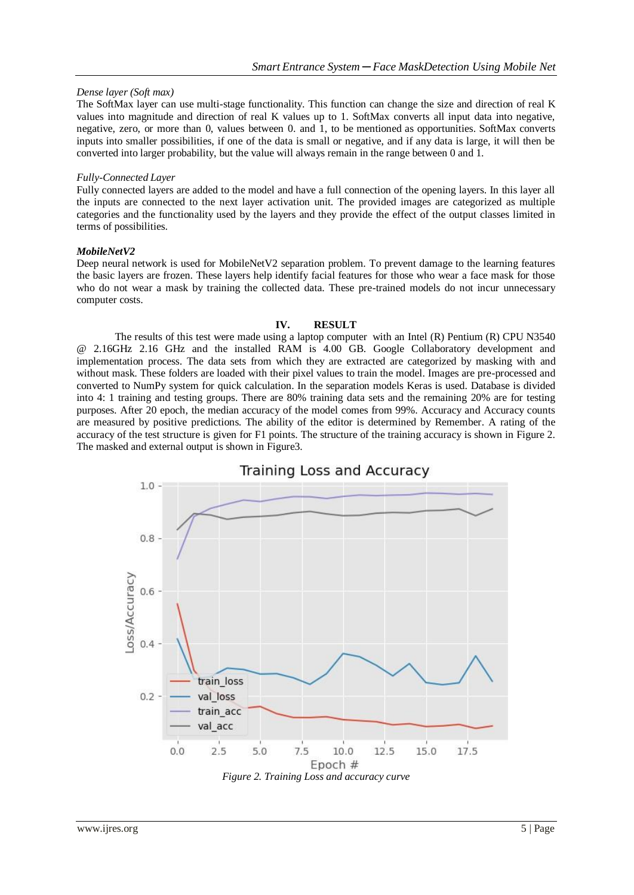# *Dense layer (Soft max)*

The SoftMax layer can use multi-stage functionality. This function can change the size and direction of real K values into magnitude and direction of real K values up to 1. SoftMax converts all input data into negative, negative, zero, or more than 0, values between 0. and 1, to be mentioned as opportunities. SoftMax converts inputs into smaller possibilities, if one of the data is small or negative, and if any data is large, it will then be converted into larger probability, but the value will always remain in the range between 0 and 1.

## *Fully-Connected Layer*

Fully connected layers are added to the model and have a full connection of the opening layers. In this layer all the inputs are connected to the next layer activation unit. The provided images are categorized as multiple categories and the functionality used by the layers and they provide the effect of the output classes limited in terms of possibilities.

## *MobileNetV2*

Deep neural network is used for MobileNetV2 separation problem. To prevent damage to the learning features the basic layers are frozen. These layers help identify facial features for those who wear a face mask for those who do not wear a mask by training the collected data. These pre-trained models do not incur unnecessary computer costs.

## **IV. RESULT**

The results of this test were made using a laptop computer with an Intel (R) Pentium (R) CPU N3540 @ 2.16GHz 2.16 GHz and the installed RAM is 4.00 GB. Google Collaboratory development and implementation process. The data sets from which they are extracted are categorized by masking with and without mask. These folders are loaded with their pixel values to train the model. Images are pre-processed and converted to NumPy system for quick calculation. In the separation models Keras is used. Database is divided into 4: 1 training and testing groups. There are 80% training data sets and the remaining 20% are for testing purposes. After 20 epoch, the median accuracy of the model comes from 99%. Accuracy and Accuracy counts are measured by positive predictions. The ability of the editor is determined by Remember. A rating of the accuracy of the test structure is given for F1 points. The structure of the training accuracy is shown in Figure 2. The masked and external output is shown in Figure3.

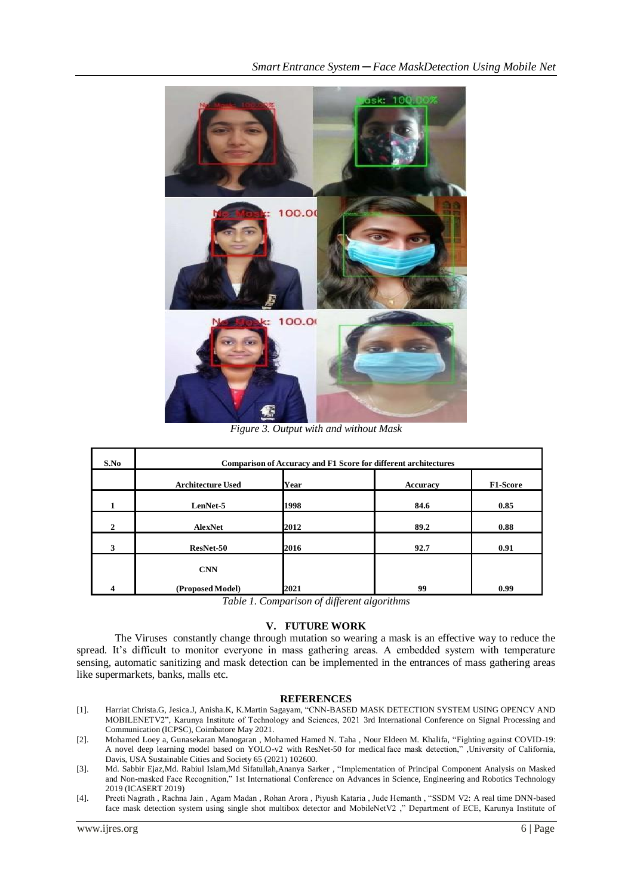

*Figure 3. Output with and without Mask*

| S.No         | Comparison of Accuracy and F1 Score for different architectures |      |          |          |
|--------------|-----------------------------------------------------------------|------|----------|----------|
|              | <b>Architecture Used</b>                                        | Year | Accuracy | F1-Score |
|              | LenNet-5                                                        | 1998 | 84.6     | 0.85     |
| $\mathbf{2}$ | AlexNet                                                         | 2012 | 89.2     | 0.88     |
| 3            | ResNet-50                                                       | 2016 | 92.7     | 0.91     |
|              | <b>CNN</b>                                                      |      |          |          |
| Δ            | (Proposed Model)                                                | 2021 | 99       | 0.99     |

*Table 1. Comparison of different algorithms*

## **V. FUTURE WORK**

The Viruses constantly change through mutation so wearing a mask is an effective way to reduce the spread. It's difficult to monitor everyone in mass gathering areas. A embedded system with temperature sensing, automatic sanitizing and mask detection can be implemented in the entrances of mass gathering areas like supermarkets, banks, malls etc.

#### **REFERENCES**

- [1]. Harriat Christa.G, Jesica.J, Anisha.K, K.Martin Sagayam, "CNN-BASED MASK DETECTION SYSTEM USING OPENCV AND MOBILENETV2", Karunya Institute of Technology and Sciences, 2021 3rd International Conference on Signal Processing and Communication (ICPSC), Coimbatore May 2021.
- [2]. Mohamed Loey a, Gunasekaran Manogaran , Mohamed Hamed N. Taha , Nour Eldeen M. Khalifa, "Fighting against COVID-19: A novel deep learning model based on YOLO-v2 with ResNet-50 for medical face mask detection," ,University of California, Davis, USA Sustainable Cities and Society 65 (2021) 102600.
- [3]. Md. Sabbir Ejaz,Md. Rabiul Islam,Md Sifatullah,Ananya Sarker , "Implementation of Principal Component Analysis on Masked and Non-masked Face Recognition," 1st International Conference on Advances in Science, Engineering and Robotics Technology 2019 (ICASERT 2019)
- [4]. Preeti Nagrath , Rachna Jain , Agam Madan , Rohan Arora , Piyush Kataria , Jude Hemanth , "SSDM V2: A real time DNN-based face mask detection system using single shot multibox detector and MobileNetV2 ," Department of ECE, Karunya Institute of